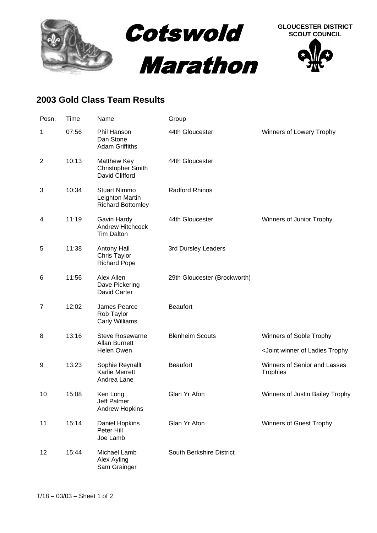

## **2003 Gold Class Team Results**

| Posn.          | <b>Time</b> | <b>Name</b>                                                        | <b>Group</b>                 |                                                            |
|----------------|-------------|--------------------------------------------------------------------|------------------------------|------------------------------------------------------------|
| 1              | 07:56       | Phil Hanson<br>Dan Stone<br><b>Adam Griffiths</b>                  | 44th Gloucester              | Winners of Lowery Trophy                                   |
| $\overline{2}$ | 10:13       | Matthew Key<br><b>Christopher Smith</b><br>David Clifford          | 44th Gloucester              |                                                            |
| 3              | 10:34       | <b>Stuart Nimmo</b><br>Leighton Martin<br><b>Richard Bottomley</b> | <b>Radford Rhinos</b>        |                                                            |
| 4              | 11:19       | Gavin Hardy<br>Andrew Hitchcock<br><b>Tim Dalton</b>               | 44th Gloucester              | Winners of Junior Trophy                                   |
| 5              | 11:38       | <b>Antony Hall</b><br>Chris Taylor<br><b>Richard Pope</b>          | 3rd Dursley Leaders          |                                                            |
| 6              | 11:56       | Alex Allen<br>Dave Pickering<br>David Carter                       | 29th Gloucester (Brockworth) |                                                            |
| $\overline{7}$ | 12:02       | James Pearce<br>Rob Taylor<br><b>Carly Williams</b>                | <b>Beaufort</b>              |                                                            |
| 8              | 13:16       | <b>Steve Rosewarne</b><br>Allan Burnett<br><b>Helen Owen</b>       | <b>Blenheim Scouts</b>       | Winners of Soble Trophy                                    |
|                |             |                                                                    |                              | <joint ladies="" of="" td="" trophy<="" winner=""></joint> |
| 9              | 13:23       | Sophie Reynallt<br><b>Karlie Merrett</b><br>Andrea Lane            | <b>Beaufort</b>              | Winners of Senior and Lasses<br><b>Trophies</b>            |
| 10             | 15:08       | Ken Long<br>Jeff Palmer<br><b>Andrew Hopkins</b>                   | Glan Yr Afon                 | Winners of Justin Bailey Trophy                            |
| 11             | 15:14       | Daniel Hopkins<br>Peter Hill<br>Joe Lamb                           | Glan Yr Afon                 | Winners of Guest Trophy                                    |
| 12             | 15:44       | Michael Lamb<br>Alex Ayling<br>Sam Grainger                        | South Berkshire District     |                                                            |